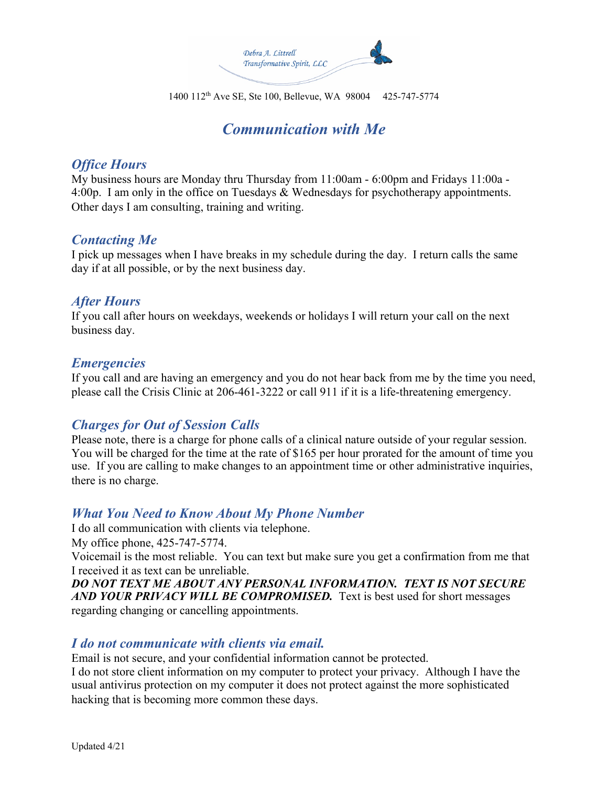

1400 112th Ave SE, Ste 100, Bellevue, WA 98004 425-747-5774

# *Communication with Me*

#### *Office Hours*

My business hours are Monday thru Thursday from 11:00am - 6:00pm and Fridays 11:00a - 4:00p. I am only in the office on Tuesdays & Wednesdays for psychotherapy appointments. Other days I am consulting, training and writing.

#### *Contacting Me*

I pick up messages when I have breaks in my schedule during the day. I return calls the same day if at all possible, or by the next business day.

#### *After Hours*

If you call after hours on weekdays, weekends or holidays I will return your call on the next business day.

#### *Emergencies*

If you call and are having an emergency and you do not hear back from me by the time you need, please call the Crisis Clinic at 206-461-3222 or call 911 if it is a life-threatening emergency.

## *Charges for Out of Session Calls*

Please note, there is a charge for phone calls of a clinical nature outside of your regular session. You will be charged for the time at the rate of \$165 per hour prorated for the amount of time you use. If you are calling to make changes to an appointment time or other administrative inquiries, there is no charge.

## *What You Need to Know About My Phone Number*

I do all communication with clients via telephone.

My office phone, 425-747-5774.

Voicemail is the most reliable. You can text but make sure you get a confirmation from me that I received it as text can be unreliable.

*DO NOT TEXT ME ABOUT ANY PERSONAL INFORMATION. TEXT IS NOT SECURE AND YOUR PRIVACY WILL BE COMPROMISED.* Text is best used for short messages regarding changing or cancelling appointments.

## *I do not communicate with clients via email.*

Email is not secure, and your confidential information cannot be protected.

I do not store client information on my computer to protect your privacy. Although I have the usual antivirus protection on my computer it does not protect against the more sophisticated hacking that is becoming more common these days.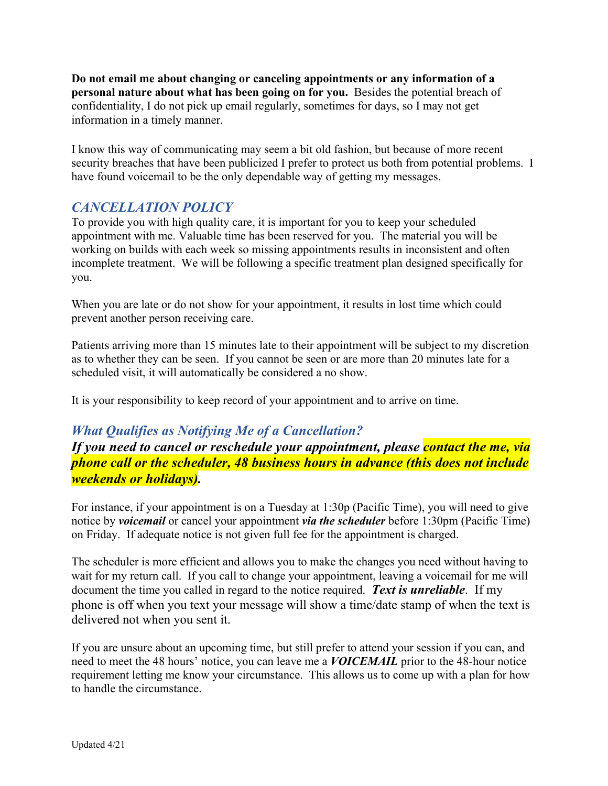**Do not email me about changing or canceling appointments or any information of a personal nature about what has been going on for you.** Besides the potential breach of confidentiality, I do not pick up email regularly, sometimes for days, so I may not get information in a timely manner.

I know this way of communicating may seem a bit old fashion, but because of more recent security breaches that have been publicized I prefer to protect us both from potential problems. I have found voicemail to be the only dependable way of getting my messages.

## *CANCELLATION POLICY*

To provide you with high quality care, it is important for you to keep your scheduled appointment with me. Valuable time has been reserved for you. The material you will be working on builds with each week so missing appointments results in inconsistent and often incomplete treatment. We will be following a specific treatment plan designed specifically for you.

When you are late or do not show for your appointment, it results in lost time which could prevent another person receiving care.

Patients arriving more than 15 minutes late to their appointment will be subject to my discretion as to whether they can be seen. If you cannot be seen or are more than 20 minutes late for a scheduled visit, it will automatically be considered a no show.

It is your responsibility to keep record of your appointment and to arrive on time.

## *What Qualifies as Notifying Me of a Cancellation?*

*If you need to cancel or reschedule your appointment, please contact the me, via phone call or the scheduler, 48 business hours in advance (this does not include weekends or holidays).*

For instance, if your appointment is on a Tuesday at 1:30p (Pacific Time), you will need to give notice by *voicemail* or cancel your appointment *via the scheduler* before 1:30pm (Pacific Time) on Friday. If adequate notice is not given full fee for the appointment is charged.

The scheduler is more efficient and allows you to make the changes you need without having to wait for my return call. If you call to change your appointment, leaving a voicemail for me will document the time you called in regard to the notice required. *Text is unreliable*. If my phone is off when you text your message will show a time/date stamp of when the text is delivered not when you sent it.

If you are unsure about an upcoming time, but still prefer to attend your session if you can, and need to meet the 48 hours' notice, you can leave me a *VOICEMAIL* prior to the 48-hour notice requirement letting me know your circumstance. This allows us to come up with a plan for how to handle the circumstance.